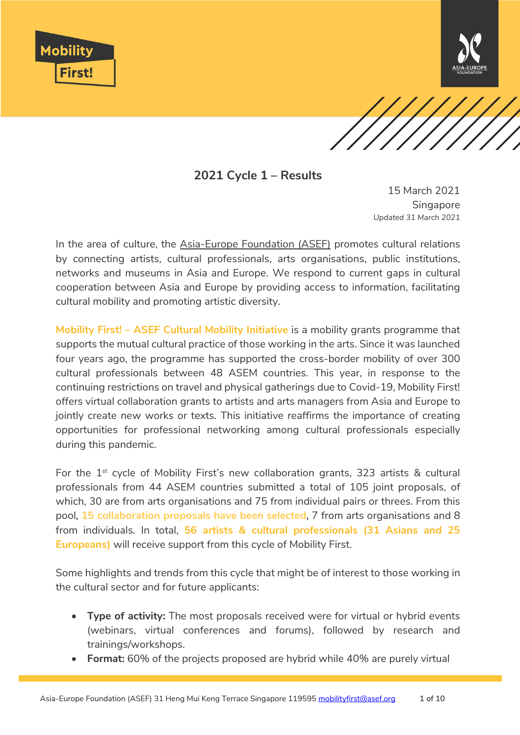





**2021 Cycle 1 – Results**

15 March 2021 **Singapore** *Updated 31 March 2021*

In the area of culture, the [Asia-Europe Foundation \(ASEF\)](https://asef.org/) promotes cultural relations by connecting artists, cultural professionals, arts organisations, public institutions, networks and museums in Asia and Europe. We respond to current gaps in cultural cooperation between Asia and Europe by providing access to information, facilitating cultural mobility and promoting artistic diversity.

**Mobility First! – ASEF Cultural Mobility Initiative** is a mobility grants programme that supports the mutual cultural practice of those working in the arts. Since it was launched four years ago, the programme has supported the cross-border mobility of over 300 cultural professionals between 48 ASEM countries. This year, in response to the continuing restrictions on travel and physical gatherings due to Covid-19, Mobility First! offers virtual collaboration grants to artists and arts managers from Asia and Europe to jointly create new works or texts. This initiative reaffirms the importance of creating opportunities for professional networking among cultural professionals especially during this pandemic.

For the  $1<sup>st</sup>$  cycle of Mobility First's new collaboration grants, 323 artists & cultural professionals from 44 ASEM countries submitted a total of 105 joint proposals, of which, 30 are from arts organisations and 75 from individual pairs or threes. From this pool, **15 collaboration proposals have been selected**, 7 from arts organisations and 8 from individuals. In total, **56 artists & cultural professionals (31 Asians and 25 Europeans)** will receive support from this cycle of Mobility First.

Some highlights and trends from this cycle that might be of interest to those working in the cultural sector and for future applicants:

- **Type of activity:** The most proposals received were for virtual or hybrid events (webinars, virtual conferences and forums), followed by research and trainings/workshops.
- **Format:** 60% of the projects proposed are hybrid while 40% are purely virtual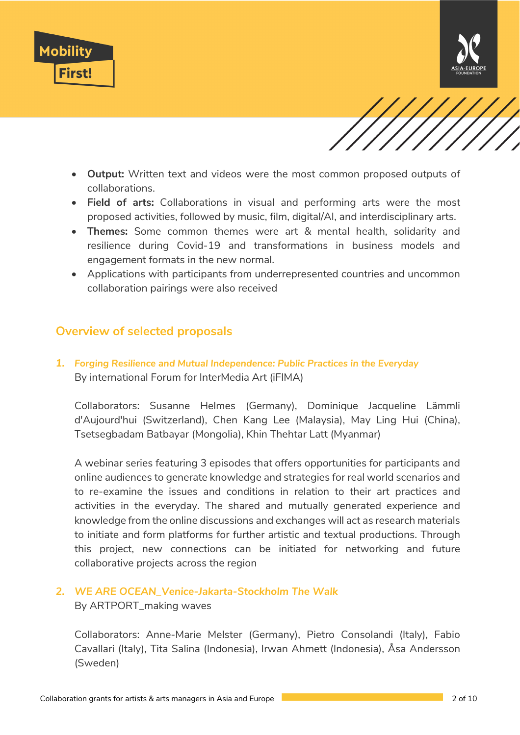





- **Output:** Written text and videos were the most common proposed outputs of collaborations.
- **Field of arts:** Collaborations in visual and performing arts were the most proposed activities, followed by music, film, digital/AI, and interdisciplinary arts.
- **Themes:** Some common themes were art & mental health, solidarity and resilience during Covid-19 and transformations in business models and engagement formats in the new normal.
- Applications with participants from underrepresented countries and uncommon collaboration pairings were also received

# **Overview of selected proposals**

*1. Forging Resilience and Mutual Independence: Public Practices in the Everyday* By international Forum for InterMedia Art (iFIMA)

Collaborators: Susanne Helmes (Germany), Dominique Jacqueline Lämmli d'Aujourd'hui (Switzerland), Chen Kang Lee (Malaysia), May Ling Hui (China), Tsetsegbadam Batbayar (Mongolia), Khin Thehtar Latt (Myanmar)

A webinar series featuring 3 episodes that offers opportunities for participants and online audiences to generate knowledge and strategies for real world scenarios and to re-examine the issues and conditions in relation to their art practices and activities in the everyday. The shared and mutually generated experience and knowledge from the online discussions and exchanges will act as research materials to initiate and form platforms for further artistic and textual productions. Through this project, new connections can be initiated for networking and future collaborative projects across the region

#### *2. WE ARE OCEAN\_Venice-Jakarta-Stockholm The Walk* By ARTPORT\_making waves

Collaborators: Anne-Marie Melster (Germany), Pietro Consolandi (Italy), Fabio Cavallari (Italy), Tita Salina (Indonesia), Irwan Ahmett (Indonesia), Åsa Andersson (Sweden)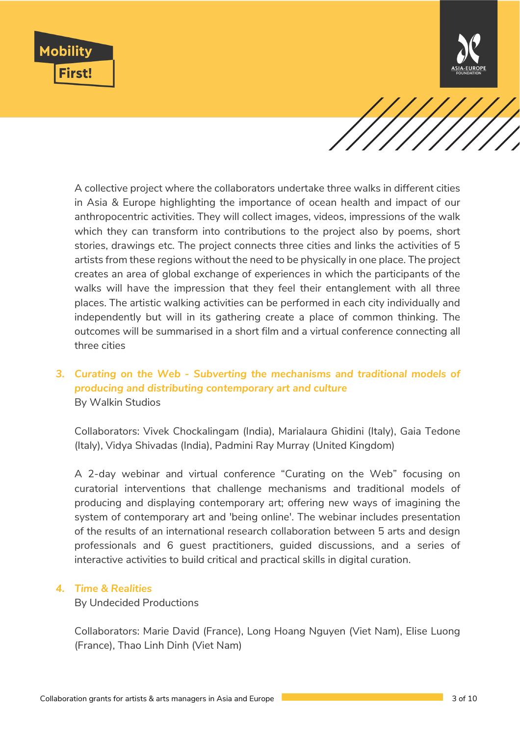



A collective project where the collaborators undertake three walks in different cities in Asia & Europe highlighting the importance of ocean health and impact of our anthropocentric activities. They will collect images, videos, impressions of the walk which they can transform into contributions to the project also by poems, short stories, drawings etc. The project connects three cities and links the activities of 5 artists from these regions without the need to be physically in one place. The project creates an area of global exchange of experiences in which the participants of the walks will have the impression that they feel their entanglement with all three places. The artistic walking activities can be performed in each city individually and independently but will in its gathering create a place of common thinking. The outcomes will be summarised in a short film and a virtual conference connecting all three cities

## *3. Curating on the Web - Subverting the mechanisms and traditional models of producing and distributing contemporary art and culture*  By Walkin Studios

Collaborators: Vivek Chockalingam (India), Marialaura Ghidini (Italy), Gaia Tedone (Italy), Vidya Shivadas (India), Padmini Ray Murray (United Kingdom)

A 2-day webinar and virtual conference "Curating on the Web" focusing on curatorial interventions that challenge mechanisms and traditional models of producing and displaying contemporary art; offering new ways of imagining the system of contemporary art and 'being online'. The webinar includes presentation of the results of an international research collaboration between 5 arts and design professionals and 6 guest practitioners, guided discussions, and a series of interactive activities to build critical and practical skills in digital curation.

#### *4. Time & Realities*

By Undecided Productions

Collaborators: Marie David (France), Long Hoang Nguyen (Viet Nam), Elise Luong (France), Thao Linh Dinh (Viet Nam)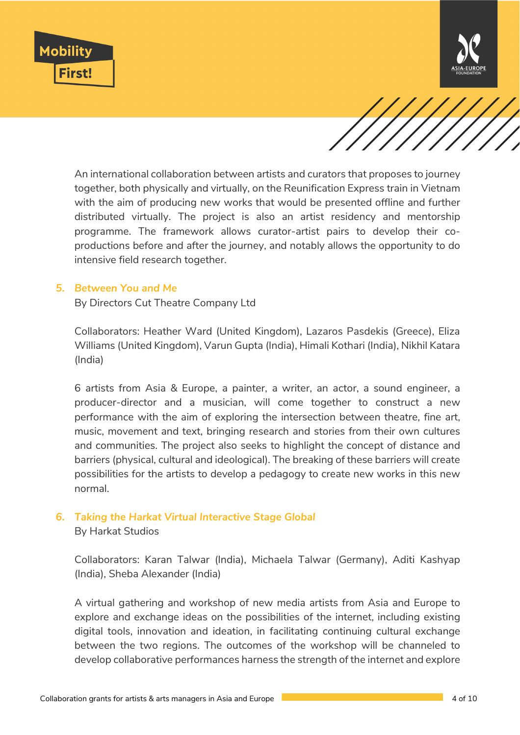





An international collaboration between artists and curators that proposes to journey together, both physically and virtually, on the Reunification Express train in Vietnam with the aim of producing new works that would be presented offline and further distributed virtually. The project is also an artist residency and mentorship programme. The framework allows curator-artist pairs to develop their coproductions before and after the journey, and notably allows the opportunity to do intensive field research together.

#### *5. Between You and Me*

By Directors Cut Theatre Company Ltd

Collaborators: Heather Ward (United Kingdom), Lazaros Pasdekis (Greece), Eliza Williams (United Kingdom), Varun Gupta (India), Himali Kothari (India), Nikhil Katara (India)

6 artists from Asia & Europe, a painter, a writer, an actor, a sound engineer, a producer-director and a musician, will come together to construct a new performance with the aim of exploring the intersection between theatre, fine art, music, movement and text, bringing research and stories from their own cultures and communities. The project also seeks to highlight the concept of distance and barriers (physical, cultural and ideological). The breaking of these barriers will create possibilities for the artists to develop a pedagogy to create new works in this new normal.

#### *6. Taking the Harkat Virtual Interactive Stage Global*

By Harkat Studios

Collaborators: Karan Talwar (India), Michaela Talwar (Germany), Aditi Kashyap (India), Sheba Alexander (India)

A virtual gathering and workshop of new media artists from Asia and Europe to explore and exchange ideas on the possibilities of the internet, including existing digital tools, innovation and ideation, in facilitating continuing cultural exchange between the two regions. The outcomes of the workshop will be channeled to develop collaborative performances harness the strength of the internet and explore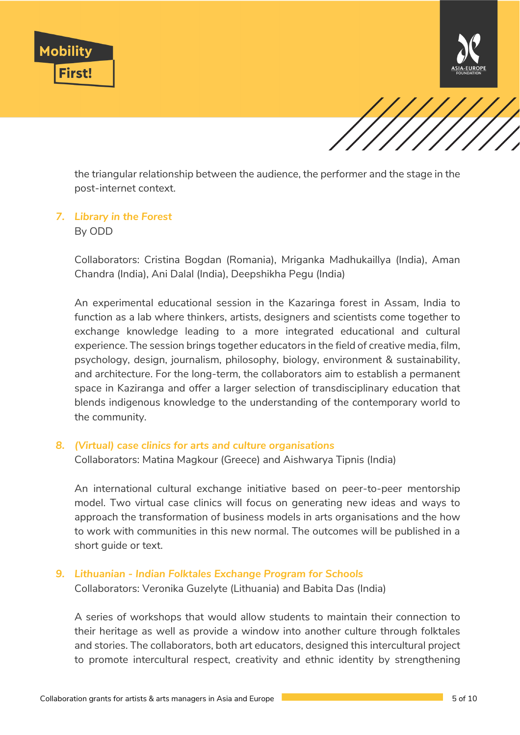





the triangular relationship between the audience, the performer and the stage in the post-internet context.

# *7. Library in the Forest*

By ODD

Collaborators: Cristina Bogdan (Romania), Mriganka Madhukaillya (India), Aman Chandra (India), Ani Dalal (India), Deepshikha Pegu (India)

An experimental educational session in the Kazaringa forest in Assam, India to function as a lab where thinkers, artists, designers and scientists come together to exchange knowledge leading to a more integrated educational and cultural experience. The session brings together educators in the field of creative media, film, psychology, design, journalism, philosophy, biology, environment & sustainability, and architecture. For the long-term, the collaborators aim to establish a permanent space in Kaziranga and offer a larger selection of transdisciplinary education that blends indigenous knowledge to the understanding of the contemporary world to the community.

#### *8. (Virtual) case clinics for arts and culture organisations*

Collaborators: Matina Magkour (Greece) and Aishwarya Tipnis (India)

An international cultural exchange initiative based on peer-to-peer mentorship model. Two virtual case clinics will focus on generating new ideas and ways to approach the transformation of business models in arts organisations and the how to work with communities in this new normal. The outcomes will be published in a short guide or text.

### *9. Lithuanian - Indian Folktales Exchange Program for Schools*

Collaborators: Veronika Guzelyte (Lithuania) and Babita Das (India)

A series of workshops that would allow students to maintain their connection to their heritage as well as provide a window into another culture through folktales and stories. The collaborators, both art educators, designed this intercultural project to promote intercultural respect, creativity and ethnic identity by strengthening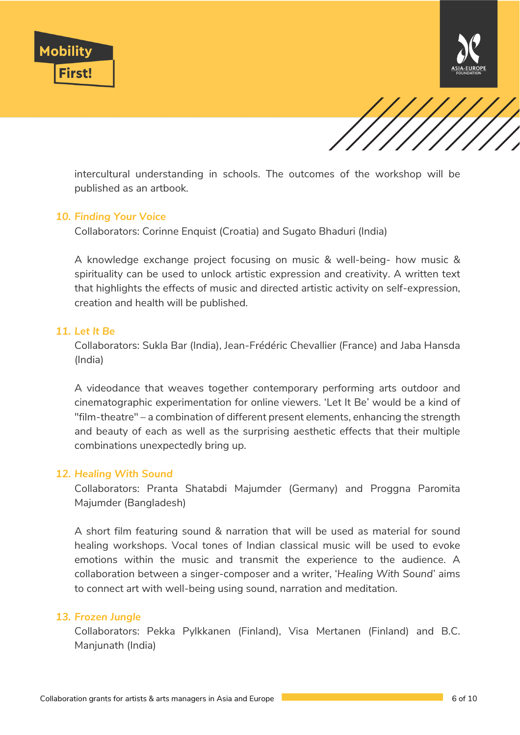





intercultural understanding in schools. The outcomes of the workshop will be published as an artbook.

#### *10. Finding Your Voice*

Collaborators: Corinne Enquist (Croatia) and Sugato Bhaduri (India)

A knowledge exchange project focusing on music & well-being- how music & spirituality can be used to unlock artistic expression and creativity. A written text that highlights the effects of music and directed artistic activity on self-expression, creation and health will be published.

#### *11. Let It Be*

Collaborators: Sukla Bar (India), Jean-Frédéric Chevallier (France) and Jaba Hansda (India)

A videodance that weaves together contemporary performing arts outdoor and cinematographic experimentation for online viewers. 'Let It Be' would be a kind of "film-theatre" – a combination of different present elements, enhancing the strength and beauty of each as well as the surprising aesthetic effects that their multiple combinations unexpectedly bring up.

#### *12. Healing With Sound*

Collaborators: Pranta Shatabdi Majumder (Germany) and Proggna Paromita Majumder (Bangladesh)

A short film featuring sound & narration that will be used as material for sound healing workshops. Vocal tones of Indian classical music will be used to evoke emotions within the music and transmit the experience to the audience. A collaboration between a singer-composer and a writer, '*Healing With Sound'* aims to connect art with well-being using sound, narration and meditation.

#### *13. Frozen Jungle*

Collaborators: Pekka Pylkkanen (Finland), Visa Mertanen (Finland) and B.C. Manjunath (India)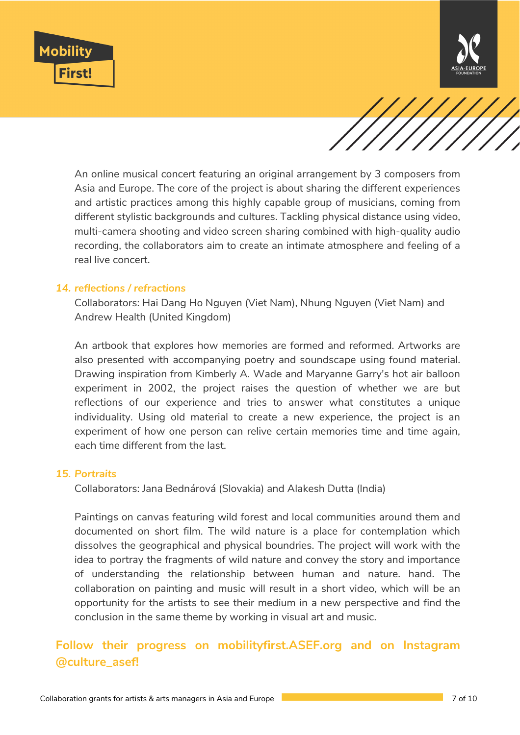



An online musical concert featuring an original arrangement by 3 composers from Asia and Europe. The core of the project is about sharing the different experiences and artistic practices among this highly capable group of musicians, coming from different stylistic backgrounds and cultures. Tackling physical distance using video, multi-camera shooting and video screen sharing combined with high-quality audio recording, the collaborators aim to create an intimate atmosphere and feeling of a real live concert.

#### *14. reflections / refractions*

Collaborators: Hai Dang Ho Nguyen (Viet Nam), Nhung Nguyen (Viet Nam) and Andrew Health (United Kingdom)

An artbook that explores how memories are formed and reformed. Artworks are also presented with accompanying poetry and soundscape using found material. Drawing inspiration from Kimberly A. Wade and Maryanne Garry's hot air balloon experiment in 2002, the project raises the question of whether we are but reflections of our experience and tries to answer what constitutes a unique individuality. Using old material to create a new experience, the project is an experiment of how one person can relive certain memories time and time again, each time different from the last.

#### *15. Portraits*

Collaborators: Jana Bednárová (Slovakia) and Alakesh Dutta (India)

Paintings on canvas featuring wild forest and local communities around them and documented on short film. The wild nature is a place for contemplation which dissolves the geographical and physical boundries. The project will work with the idea to portray the fragments of wild nature and convey the story and importance of understanding the relationship between human and nature. hand. The collaboration on painting and music will result in a short video, which will be an opportunity for the artists to see their medium in a new perspective and find the conclusion in the same theme by working in visual art and music.

# **Follow their progress on mobilityfirst.ASEF.org and on Instagram @culture\_asef!**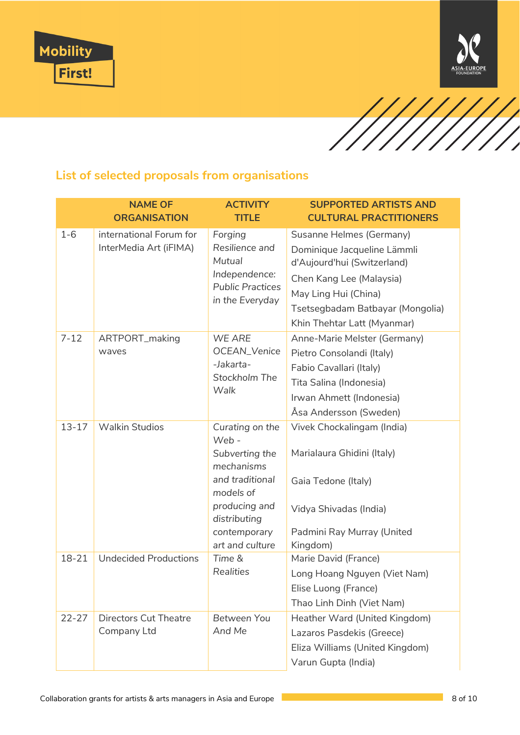





# **List of selected proposals from organisations**

|                                 | <b>NAME OF</b><br><b>ORGANISATION</b>                                                                | <b>ACTIVITY</b><br><b>TITLE</b>                                                                                                                                | <b>SUPPORTED ARTISTS AND</b><br><b>CULTURAL PRACTITIONERS</b>                                                                                                                                                                                                                                                                                                    |
|---------------------------------|------------------------------------------------------------------------------------------------------|----------------------------------------------------------------------------------------------------------------------------------------------------------------|------------------------------------------------------------------------------------------------------------------------------------------------------------------------------------------------------------------------------------------------------------------------------------------------------------------------------------------------------------------|
| $1 - 6$                         | international Forum for<br>InterMedia Art (iFIMA)                                                    | Forging<br>Resilience and                                                                                                                                      | Susanne Helmes (Germany)<br>Dominique Jacqueline Lämmli                                                                                                                                                                                                                                                                                                          |
|                                 |                                                                                                      | Mutual                                                                                                                                                         | d'Aujourd'hui (Switzerland)                                                                                                                                                                                                                                                                                                                                      |
|                                 |                                                                                                      | Independence:                                                                                                                                                  | Chen Kang Lee (Malaysia)                                                                                                                                                                                                                                                                                                                                         |
|                                 |                                                                                                      | <b>Public Practices</b><br>in the Everyday                                                                                                                     | May Ling Hui (China)                                                                                                                                                                                                                                                                                                                                             |
|                                 |                                                                                                      |                                                                                                                                                                | Tsetsegbadam Batbayar (Mongolia)                                                                                                                                                                                                                                                                                                                                 |
|                                 |                                                                                                      | Khin Thehtar Latt (Myanmar)                                                                                                                                    |                                                                                                                                                                                                                                                                                                                                                                  |
| $7 - 12$                        | ARTPORT_making                                                                                       | WE ARE                                                                                                                                                         | Anne-Marie Melster (Germany)                                                                                                                                                                                                                                                                                                                                     |
|                                 | waves                                                                                                |                                                                                                                                                                | Pietro Consolandi (Italy)                                                                                                                                                                                                                                                                                                                                        |
|                                 |                                                                                                      |                                                                                                                                                                |                                                                                                                                                                                                                                                                                                                                                                  |
|                                 |                                                                                                      | Walk                                                                                                                                                           |                                                                                                                                                                                                                                                                                                                                                                  |
|                                 |                                                                                                      |                                                                                                                                                                |                                                                                                                                                                                                                                                                                                                                                                  |
|                                 |                                                                                                      |                                                                                                                                                                |                                                                                                                                                                                                                                                                                                                                                                  |
|                                 |                                                                                                      |                                                                                                                                                                |                                                                                                                                                                                                                                                                                                                                                                  |
|                                 |                                                                                                      | Subverting the                                                                                                                                                 | Marialaura Ghidini (Italy)                                                                                                                                                                                                                                                                                                                                       |
|                                 |                                                                                                      | and traditional<br>models of                                                                                                                                   | Gaia Tedone (Italy)                                                                                                                                                                                                                                                                                                                                              |
|                                 |                                                                                                      | producing and<br>distributing                                                                                                                                  | Vidya Shivadas (India)                                                                                                                                                                                                                                                                                                                                           |
|                                 |                                                                                                      | contemporary                                                                                                                                                   | Padmini Ray Murray (United                                                                                                                                                                                                                                                                                                                                       |
|                                 |                                                                                                      |                                                                                                                                                                |                                                                                                                                                                                                                                                                                                                                                                  |
|                                 |                                                                                                      |                                                                                                                                                                |                                                                                                                                                                                                                                                                                                                                                                  |
|                                 |                                                                                                      |                                                                                                                                                                |                                                                                                                                                                                                                                                                                                                                                                  |
|                                 |                                                                                                      |                                                                                                                                                                |                                                                                                                                                                                                                                                                                                                                                                  |
|                                 |                                                                                                      |                                                                                                                                                                |                                                                                                                                                                                                                                                                                                                                                                  |
|                                 |                                                                                                      |                                                                                                                                                                |                                                                                                                                                                                                                                                                                                                                                                  |
|                                 |                                                                                                      |                                                                                                                                                                |                                                                                                                                                                                                                                                                                                                                                                  |
|                                 |                                                                                                      |                                                                                                                                                                | Varun Gupta (India)                                                                                                                                                                                                                                                                                                                                              |
| $13 - 17$<br>18-21<br>$22 - 27$ | <b>Walkin Studios</b><br><b>Undecided Productions</b><br><b>Directors Cut Theatre</b><br>Company Ltd | OCEAN_Venice<br>-Jakarta-<br>Stockholm The<br>Curating on the<br>Web -<br>mechanisms<br>art and culture<br>Time &<br><b>Realities</b><br>Between You<br>And Me | Fabio Cavallari (Italy)<br>Tita Salina (Indonesia)<br>Irwan Ahmett (Indonesia)<br>Åsa Andersson (Sweden)<br>Vivek Chockalingam (India)<br>Kingdom)<br>Marie David (France)<br>Long Hoang Nguyen (Viet Nam)<br>Elise Luong (France)<br>Thao Linh Dinh (Viet Nam)<br>Heather Ward (United Kingdom)<br>Lazaros Pasdekis (Greece)<br>Eliza Williams (United Kingdom) |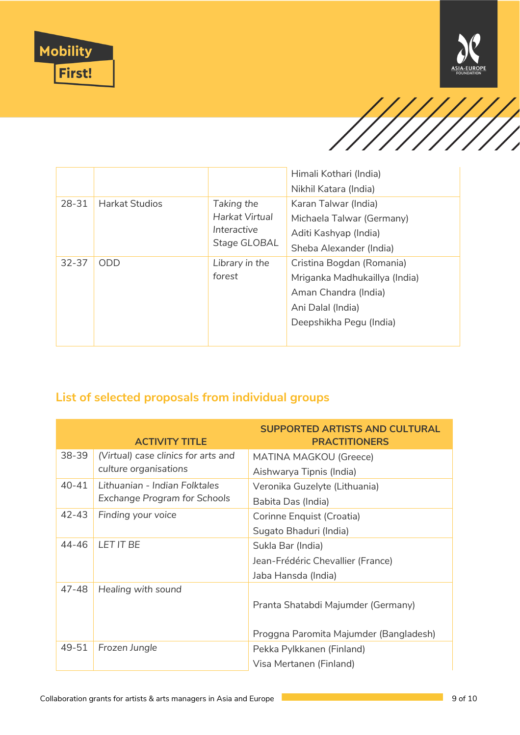





|           |                       |                                               | Himali Kothari (India)    |
|-----------|-----------------------|-----------------------------------------------|---------------------------|
|           |                       |                                               | Nikhil Katara (India)     |
| 28-31     | <b>Harkat Studios</b> | Taking the                                    | Karan Talwar (India)      |
|           |                       | Harkat Virtual<br>Interactive<br>Stage GLOBAL | Michaela Talwar (Germany) |
|           |                       |                                               | Aditi Kashyap (India)     |
|           |                       |                                               | Sheba Alexander (India)   |
| $32 - 37$ | <b>ODD</b>            | Library in the                                | Cristina Bogdan (Romania) |
|           | forest                | Mriganka Madhukaillya (India)                 |                           |
|           |                       |                                               | Aman Chandra (India)      |
|           |                       |                                               | Ani Dalal (India)         |
|           |                       |                                               | Deepshikha Pegu (India)   |
|           |                       |                                               |                           |

# **List of selected proposals from individual groups**

|       | <b>ACTIVITY TITLE</b>               | <b>SUPPORTED ARTISTS AND CULTURAL</b><br><b>PRACTITIONERS</b> |
|-------|-------------------------------------|---------------------------------------------------------------|
| 38-39 | (Virtual) case clinics for arts and | <b>MATINA MAGKOU (Greece)</b>                                 |
|       | culture organisations               | Aishwarya Tipnis (India)                                      |
| 40-41 | Lithuanian - Indian Folktales       | Veronika Guzelyte (Lithuania)                                 |
|       | <b>Exchange Program for Schools</b> | Babita Das (India)                                            |
| 42-43 | Finding your voice                  | Corinne Enquist (Croatia)                                     |
|       |                                     | Sugato Bhaduri (India)                                        |
| 44-46 | LET IT BE                           | Sukla Bar (India)                                             |
|       |                                     | Jean-Frédéric Chevallier (France)                             |
|       |                                     | Jaba Hansda (India)                                           |
| 47-48 | Healing with sound                  | Pranta Shatabdi Majumder (Germany)                            |
|       |                                     | Proggna Paromita Majumder (Bangladesh)                        |
| 49-51 | Frozen Jungle                       | Pekka Pylkkanen (Finland)                                     |
|       |                                     | Visa Mertanen (Finland)                                       |